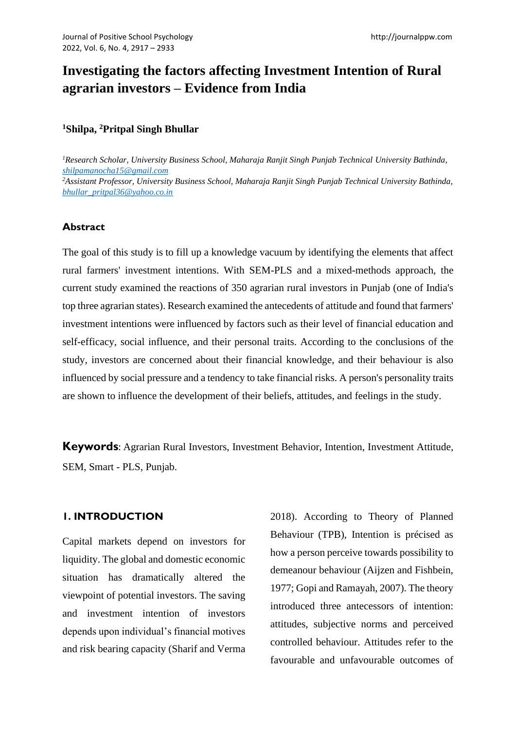# **Investigating the factors affecting Investment Intention of Rural agrarian investors – Evidence from India**

## **<sup>1</sup>Shilpa, <sup>2</sup>Pritpal Singh Bhullar**

*<sup>1</sup>Research Scholar, University Business School, Maharaja Ranjit Singh Punjab Technical University Bathinda, [shilpamanocha15@gmail.com](mailto:shilpamanocha15@gmail.com) <sup>2</sup>Assistant Professor, University Business School, Maharaja Ranjit Singh Punjab Technical University Bathinda, [bhullar\\_pritpal36@yahoo.co.in](mailto:bhullar_pritpal36@yahoo.co.in)*

# **Abstract**

The goal of this study is to fill up a knowledge vacuum by identifying the elements that affect rural farmers' investment intentions. With SEM-PLS and a mixed-methods approach, the current study examined the reactions of 350 agrarian rural investors in Punjab (one of India's top three agrarian states). Research examined the antecedents of attitude and found that farmers' investment intentions were influenced by factors such as their level of financial education and self-efficacy, social influence, and their personal traits. According to the conclusions of the study, investors are concerned about their financial knowledge, and their behaviour is also influenced by social pressure and a tendency to take financial risks. A person's personality traits are shown to influence the development of their beliefs, attitudes, and feelings in the study.

**Keywords**: Agrarian Rural Investors, Investment Behavior, Intention, Investment Attitude, SEM, Smart - PLS, Punjab.

### **1. INTRODUCTION**

Capital markets depend on investors for liquidity. The global and domestic economic situation has dramatically altered the viewpoint of potential investors. The saving and investment intention of investors depends upon individual's financial motives and risk bearing capacity (Sharif and Verma 2018). According to Theory of Planned Behaviour (TPB), Intention is précised as how a person perceive towards possibility to demeanour behaviour (Aijzen and Fishbein, 1977; Gopi and Ramayah, 2007). The theory introduced three antecessors of intention: attitudes, subjective norms and perceived controlled behaviour. Attitudes refer to the favourable and unfavourable outcomes of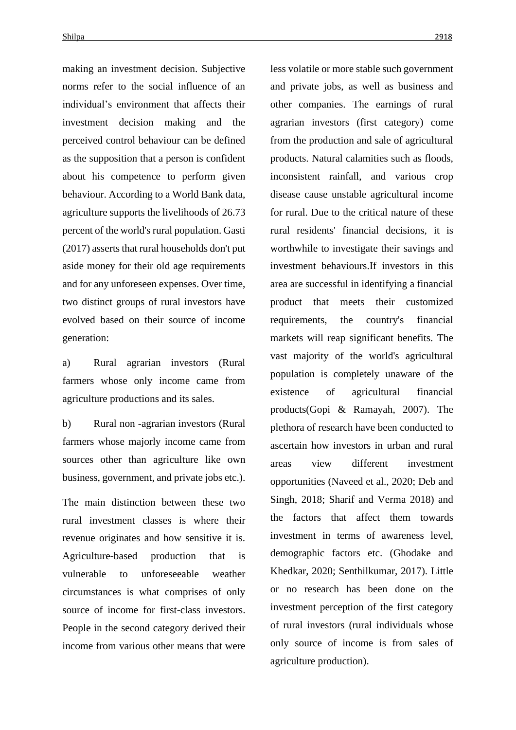making an investment decision. Subjective norms refer to the social influence of an individual's environment that affects their investment decision making and the perceived control behaviour can be defined as the supposition that a person is confident about his competence to perform given behaviour. According to a World Bank data, agriculture supports the livelihoods of 26.73 percent of the world's rural population. Gasti (2017) asserts that rural households don't put aside money for their old age requirements and for any unforeseen expenses. Over time, two distinct groups of rural investors have evolved based on their source of income generation:

a) Rural agrarian investors (Rural farmers whose only income came from agriculture productions and its sales.

b) Rural non -agrarian investors (Rural farmers whose majorly income came from sources other than agriculture like own business, government, and private jobs etc.).

The main distinction between these two rural investment classes is where their revenue originates and how sensitive it is. Agriculture-based production that is vulnerable to unforeseeable weather circumstances is what comprises of only source of income for first-class investors. People in the second category derived their income from various other means that were less volatile or more stable such government and private jobs, as well as business and other companies. The earnings of rural agrarian investors (first category) come from the production and sale of agricultural products. Natural calamities such as floods, inconsistent rainfall, and various crop disease cause unstable agricultural income for rural. Due to the critical nature of these rural residents' financial decisions, it is worthwhile to investigate their savings and investment behaviours.If investors in this area are successful in identifying a financial product that meets their customized requirements, the country's financial markets will reap significant benefits. The vast majority of the world's agricultural population is completely unaware of the existence of agricultural financial products(Gopi & Ramayah, 2007). The plethora of research have been conducted to ascertain how investors in urban and rural areas view different investment opportunities (Naveed et al., 2020; Deb and Singh, 2018; Sharif and Verma 2018) and the factors that affect them towards investment in terms of awareness level, demographic factors etc. (Ghodake and Khedkar, 2020; Senthilkumar, 2017). Little or no research has been done on the investment perception of the first category of rural investors (rural individuals whose only source of income is from sales of agriculture production).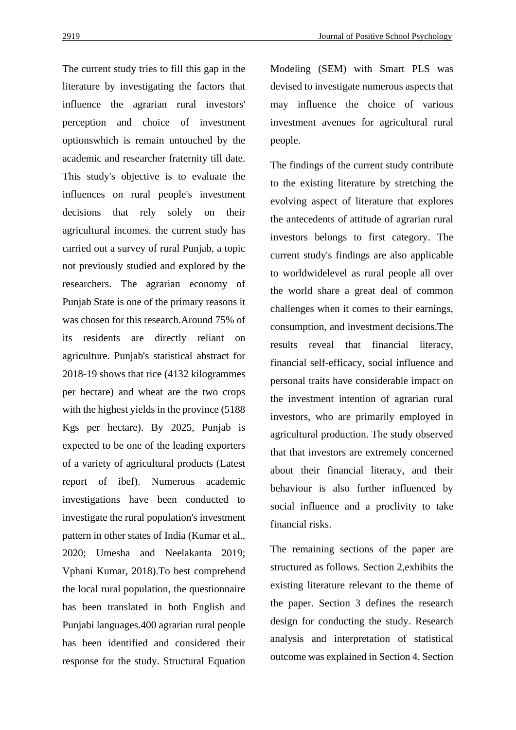The current study tries to fill this gap in the literature by investigating the factors that influence the agrarian rural investors' perception and choice of investment optionswhich is remain untouched by the academic and researcher fraternity till date. This study's objective is to evaluate the influences on rural people's investment decisions that rely solely on their agricultural incomes. the current study has carried out a survey of rural Punjab, a topic not previously studied and explored by the researchers. The agrarian economy of Punjab State is one of the primary reasons it was chosen for this research.Around 75% of its residents are directly reliant on agriculture. Punjab's statistical abstract for 2018-19 shows that rice (4132 kilogrammes per hectare) and wheat are the two crops with the highest yields in the province (5188 Kgs per hectare). By 2025, Punjab is expected to be one of the leading exporters of a variety of agricultural products (Latest report of ibef). Numerous academic investigations have been conducted to investigate the rural population's investment pattern in other states of India (Kumar et al., 2020; Umesha and Neelakanta 2019; Vphani Kumar, 2018).To best comprehend the local rural population, the questionnaire has been translated in both English and Punjabi languages.400 agrarian rural people has been identified and considered their response for the study. Structural Equation Modeling (SEM) with Smart PLS was devised to investigate numerous aspects that may influence the choice of various investment avenues for agricultural rural people.

The findings of the current study contribute to the existing literature by stretching the evolving aspect of literature that explores the antecedents of attitude of agrarian rural investors belongs to first category. The current study's findings are also applicable to worldwidelevel as rural people all over the world share a great deal of common challenges when it comes to their earnings, consumption, and investment decisions.The results reveal that financial literacy, financial self-efficacy, social influence and personal traits have considerable impact on the investment intention of agrarian rural investors, who are primarily employed in agricultural production. The study observed that that investors are extremely concerned about their financial literacy, and their behaviour is also further influenced by social influence and a proclivity to take financial risks.

The remaining sections of the paper are structured as follows. Section 2,exhibits the existing literature relevant to the theme of the paper. Section 3 defines the research design for conducting the study. Research analysis and interpretation of statistical outcome was explained in Section 4. Section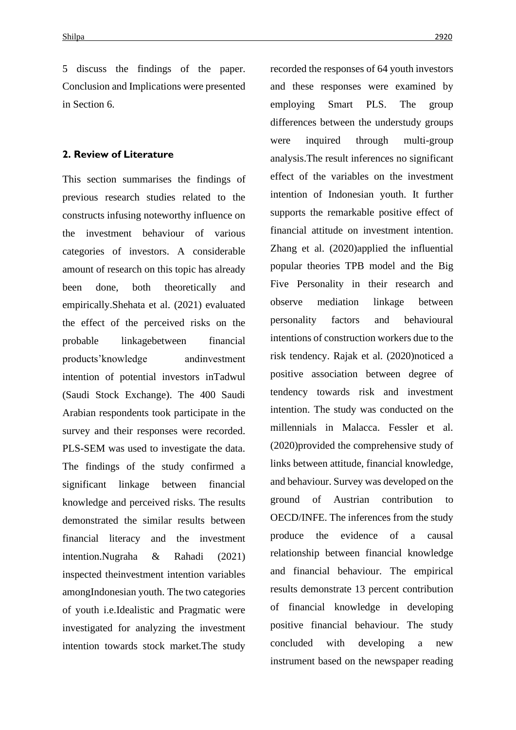5 discuss the findings of the paper. Conclusion and Implications were presented in Section 6.

### **2. Review of Literature**

This section summarises the findings of previous research studies related to the constructs infusing noteworthy influence on the investment behaviour of various categories of investors. A considerable amount of research on this topic has already been done, both theoretically and empirically.Shehata et al. (2021) evaluated the effect of the perceived risks on the probable linkagebetween financial products'knowledge andinvestment intention of potential investors inTadwul (Saudi Stock Exchange). The 400 Saudi Arabian respondents took participate in the survey and their responses were recorded. PLS-SEM was used to investigate the data. The findings of the study confirmed a significant linkage between financial knowledge and perceived risks. The results demonstrated the similar results between financial literacy and the investment intention.Nugraha & Rahadi (2021) inspected theinvestment intention variables amongIndonesian youth. The two categories of youth i.e.Idealistic and Pragmatic were investigated for analyzing the investment intention towards stock market.The study

recorded the responses of 64 youth investors and these responses were examined by employing Smart PLS. The group differences between the understudy groups were inquired through multi-group analysis.The result inferences no significant effect of the variables on the investment intention of Indonesian youth. It further supports the remarkable positive effect of financial attitude on investment intention. Zhang et al. (2020)applied the influential popular theories TPB model and the Big Five Personality in their research and observe mediation linkage between personality factors and behavioural intentions of construction workers due to the risk tendency. Rajak et al. (2020)noticed a positive association between degree of tendency towards risk and investment intention. The study was conducted on the millennials in Malacca. Fessler et al. (2020)provided the comprehensive study of links between attitude, financial knowledge, and behaviour. Survey was developed on the ground of Austrian contribution to OECD/INFE. The inferences from the study produce the evidence of a causal relationship between financial knowledge and financial behaviour. The empirical results demonstrate 13 percent contribution of financial knowledge in developing positive financial behaviour. The study concluded with developing a new instrument based on the newspaper reading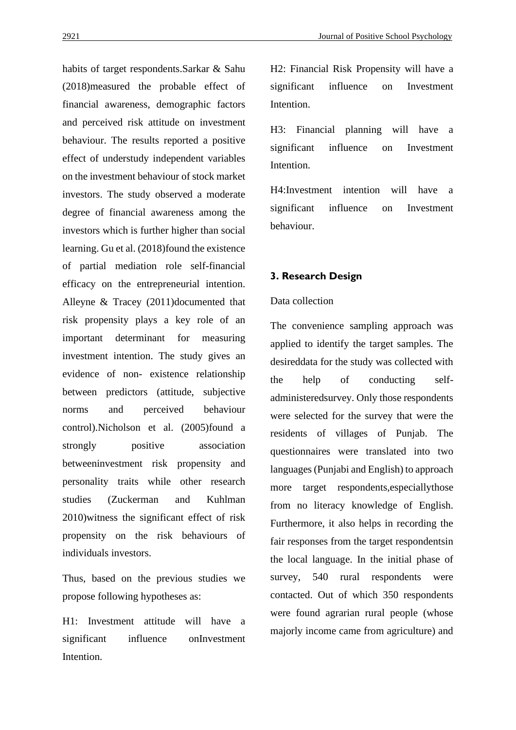habits of target respondents.Sarkar & Sahu (2018)measured the probable effect of financial awareness, demographic factors and perceived risk attitude on investment behaviour. The results reported a positive effect of understudy independent variables on the investment behaviour of stock market investors. The study observed a moderate degree of financial awareness among the investors which is further higher than social learning. Gu et al. (2018)found the existence of partial mediation role self-financial efficacy on the entrepreneurial intention. Alleyne & Tracey (2011)documented that risk propensity plays a key role of an important determinant for measuring investment intention. The study gives an evidence of non- existence relationship between predictors (attitude, subjective norms and perceived behaviour control).Nicholson et al. (2005)found a strongly positive association betweeninvestment risk propensity and personality traits while other research studies (Zuckerman and Kuhlman 2010)witness the significant effect of risk propensity on the risk behaviours of individuals investors.

Thus, based on the previous studies we propose following hypotheses as:

H1: Investment attitude will have a significant influence onInvestment Intention.

H2: Financial Risk Propensity will have a significant influence on Investment Intention.

H3: Financial planning will have a significant influence on Investment Intention.

H4:Investment intention will have a significant influence on Investment behaviour.

# **3. Research Design**

# Data collection

The convenience sampling approach was applied to identify the target samples. The desireddata for the study was collected with the help of conducting selfadministeredsurvey. Only those respondents were selected for the survey that were the residents of villages of Punjab. The questionnaires were translated into two languages (Punjabi and English) to approach more target respondents,especiallythose from no literacy knowledge of English. Furthermore, it also helps in recording the fair responses from the target respondentsin the local language. In the initial phase of survey, 540 rural respondents were contacted. Out of which 350 respondents were found agrarian rural people (whose majorly income came from agriculture) and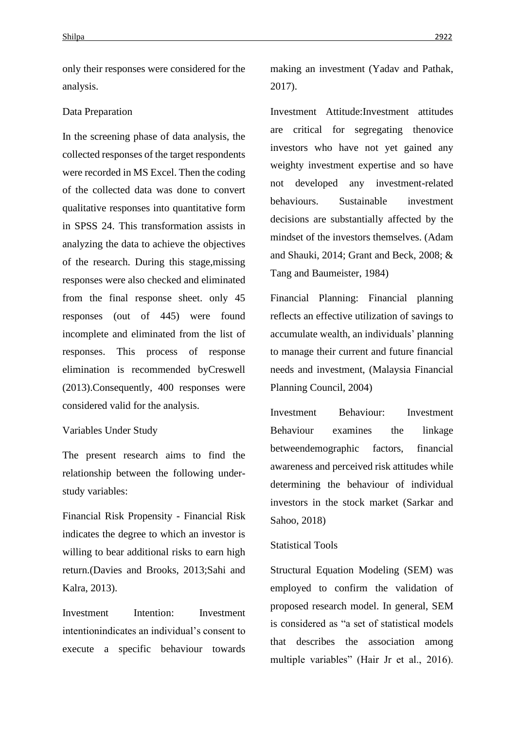only their responses were considered for the analysis.

#### Data Preparation

In the screening phase of data analysis, the collected responses of the target respondents were recorded in MS Excel. Then the coding of the collected data was done to convert qualitative responses into quantitative form in SPSS 24. This transformation assists in analyzing the data to achieve the objectives of the research. During this stage,missing responses were also checked and eliminated from the final response sheet. only 45 responses (out of 445) were found incomplete and eliminated from the list of responses. This process of response elimination is recommended byCreswell (2013).Consequently, 400 responses were considered valid for the analysis.

### Variables Under Study

The present research aims to find the relationship between the following understudy variables:

Financial Risk Propensity - Financial Risk indicates the degree to which an investor is willing to bear additional risks to earn high return.(Davies and Brooks, 2013;Sahi and Kalra, 2013).

Investment Intention: Investment intentionindicates an individual's consent to execute a specific behaviour towards

making an investment (Yadav and Pathak, 2017).

Investment Attitude:Investment attitudes are critical for segregating thenovice investors who have not yet gained any weighty investment expertise and so have not developed any investment-related behaviours. Sustainable investment decisions are substantially affected by the mindset of the investors themselves. (Adam and Shauki, 2014; Grant and Beck, 2008; & Tang and Baumeister, 1984)

Financial Planning: Financial planning reflects an effective utilization of savings to accumulate wealth, an individuals' planning to manage their current and future financial needs and investment, (Malaysia Financial Planning Council, 2004)

Investment Behaviour: Investment Behaviour examines the linkage betweendemographic factors, financial awareness and perceived risk attitudes while determining the behaviour of individual investors in the stock market (Sarkar and Sahoo, 2018)

#### Statistical Tools

Structural Equation Modeling (SEM) was employed to confirm the validation of proposed research model. In general, SEM is considered as "a set of statistical models that describes the association among multiple variables" (Hair Jr et al., 2016).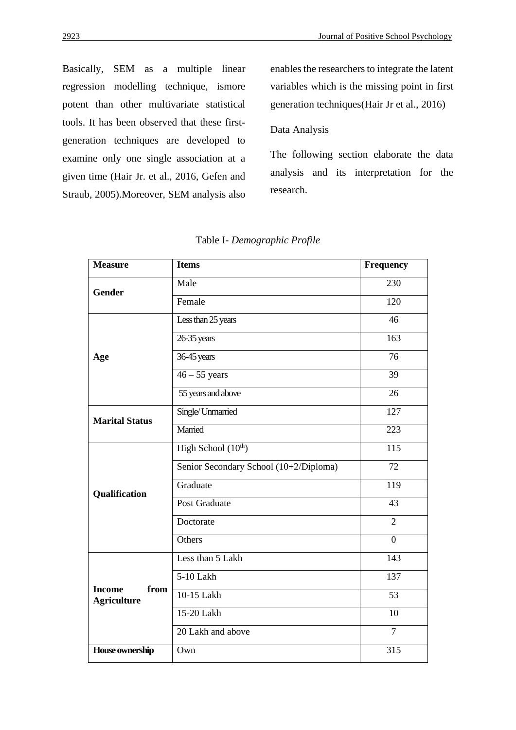Basically, SEM as a multiple linear regression modelling technique, ismore potent than other multivariate statistical tools. It has been observed that these firstgeneration techniques are developed to examine only one single association at a given time (Hair Jr. et al., 2016, Gefen and Straub, 2005).Moreover, SEM analysis also

enables the researchers to integrate the latent variables which is the missing point in first generation techniques(Hair Jr et al., 2016)

## Data Analysis

The following section elaborate the data analysis and its interpretation for the research.

| <b>Measure</b>                              | <b>Items</b>                           | <b>Frequency</b> |
|---------------------------------------------|----------------------------------------|------------------|
| Gender                                      | Male                                   | 230              |
|                                             | Female                                 | 120              |
|                                             | Less than 25 years                     | 46               |
|                                             | 26-35 years                            | 163              |
| Age                                         | 36-45 years                            | 76               |
|                                             | $46 - 55$ years                        | 39               |
|                                             | 55 years and above                     | 26               |
| <b>Marital Status</b>                       | Single/ Unmarried                      | 127              |
|                                             | Married                                | 223              |
| Qualification                               | High School $(10th)$                   | 115              |
|                                             | Senior Secondary School (10+2/Diploma) | 72               |
|                                             | Graduate                               | 119              |
|                                             | Post Graduate                          | 43               |
|                                             | Doctorate                              | $\overline{2}$   |
|                                             | Others                                 | $\overline{0}$   |
| <b>Income</b><br>from<br><b>Agriculture</b> | Less than 5 Lakh                       | 143              |
|                                             | 5-10 Lakh                              | 137              |
|                                             | 10-15 Lakh                             | 53               |
|                                             | 15-20 Lakh                             | 10               |
|                                             | 20 Lakh and above                      | $\overline{7}$   |
| House ownership                             | Own                                    | 315              |

#### Table I- *Demographic Profile*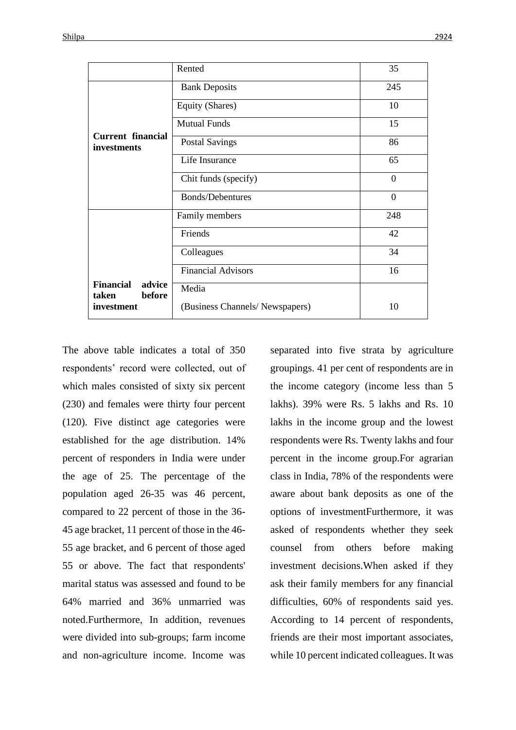|                                               | Rented                         | 35             |
|-----------------------------------------------|--------------------------------|----------------|
|                                               | <b>Bank Deposits</b>           | 245            |
|                                               | Equity (Shares)                | 10             |
|                                               | <b>Mutual Funds</b>            | 15             |
| <b>Current financial</b><br>investments       | <b>Postal Savings</b>          | 86             |
|                                               | Life Insurance                 | 65             |
|                                               | Chit funds (specify)           | $\Omega$       |
|                                               | <b>Bonds/Debentures</b>        | $\overline{0}$ |
|                                               | Family members                 | 248            |
|                                               | Friends                        | 42             |
|                                               | Colleagues                     | 34             |
|                                               | <b>Financial Advisors</b>      | 16             |
| <b>Financial</b><br>advice<br>taken<br>before | Media                          |                |
| investment                                    | (Business Channels/Newspapers) | 10             |

The above table indicates a total of 350 respondents' record were collected, out of which males consisted of sixty six percent (230) and females were thirty four percent (120). Five distinct age categories were established for the age distribution. 14% percent of responders in India were under the age of 25. The percentage of the population aged 26-35 was 46 percent, compared to 22 percent of those in the 36- 45 age bracket, 11 percent of those in the 46- 55 age bracket, and 6 percent of those aged 55 or above. The fact that respondents' marital status was assessed and found to be 64% married and 36% unmarried was noted.Furthermore, In addition, revenues were divided into sub-groups; farm income and non-agriculture income. Income was

separated into five strata by agriculture groupings. 41 per cent of respondents are in the income category (income less than 5 lakhs). 39% were Rs. 5 lakhs and Rs. 10 lakhs in the income group and the lowest respondents were Rs. Twenty lakhs and four percent in the income group.For agrarian class in India, 78% of the respondents were aware about bank deposits as one of the options of investmentFurthermore, it was asked of respondents whether they seek counsel from others before making investment decisions.When asked if they ask their family members for any financial difficulties, 60% of respondents said yes. According to 14 percent of respondents, friends are their most important associates, while 10 percent indicated colleagues. It was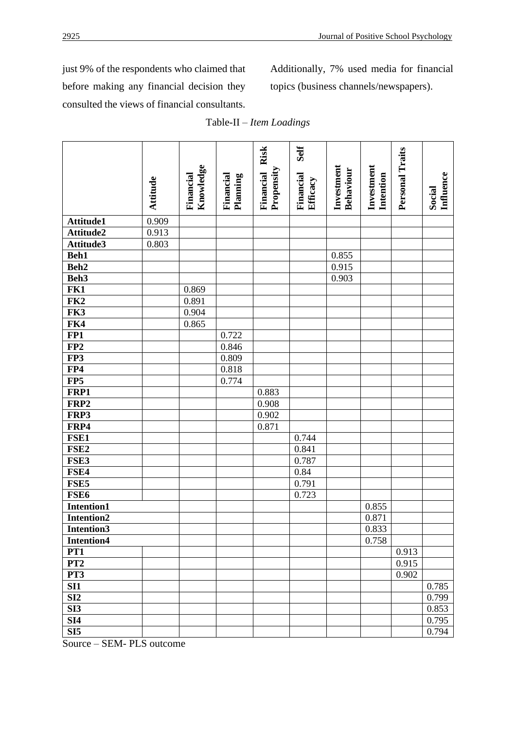just 9% of the respondents who claimed that before making any financial decision they consulted the views of financial consultants. Additionally, 7% used media for financial topics (business channels/newspapers).

|                            | Attitude | Knowledge<br>Financial | Financial<br>Planning | Financial Risk<br>Propensity | Self<br>Financial<br>Efficacy | Investment<br>Behaviour | Investment<br>Intention | Personal Traits | <b>Influence</b><br>Social |
|----------------------------|----------|------------------------|-----------------------|------------------------------|-------------------------------|-------------------------|-------------------------|-----------------|----------------------------|
| Attitude1                  | 0.909    |                        |                       |                              |                               |                         |                         |                 |                            |
| Attitude2                  | 0.913    |                        |                       |                              |                               |                         |                         |                 |                            |
| Attitude3                  | 0.803    |                        |                       |                              |                               |                         |                         |                 |                            |
| Beh1                       |          |                        |                       |                              |                               | 0.855                   |                         |                 |                            |
| Beh <sub>2</sub>           |          |                        |                       |                              |                               | 0.915                   |                         |                 |                            |
| Beh3                       |          |                        |                       |                              |                               | 0.903                   |                         |                 |                            |
| FK1                        |          | 0.869                  |                       |                              |                               |                         |                         |                 |                            |
| FK <sub>2</sub>            |          | 0.891                  |                       |                              |                               |                         |                         |                 |                            |
| FK3                        |          | 0.904                  |                       |                              |                               |                         |                         |                 |                            |
| FK4                        |          | 0.865                  |                       |                              |                               |                         |                         |                 |                            |
| FP1                        |          |                        | 0.722                 |                              |                               |                         |                         |                 |                            |
| FP2                        |          |                        | 0.846                 |                              |                               |                         |                         |                 |                            |
| FP3                        |          |                        | 0.809                 |                              |                               |                         |                         |                 |                            |
| FP4                        |          |                        | 0.818                 |                              |                               |                         |                         |                 |                            |
| FP5                        |          |                        | 0.774                 |                              |                               |                         |                         |                 |                            |
| FRP1                       |          |                        |                       | 0.883                        |                               |                         |                         |                 |                            |
| FRP2                       |          |                        |                       | 0.908                        |                               |                         |                         |                 |                            |
| FRP3                       |          |                        |                       | 0.902                        |                               |                         |                         |                 |                            |
| FRP4                       |          |                        |                       | 0.871                        |                               |                         |                         |                 |                            |
| FSE1                       |          |                        |                       |                              | 0.744                         |                         |                         |                 |                            |
| FSE <sub>2</sub>           |          |                        |                       |                              | 0.841                         |                         |                         |                 |                            |
| FSE3                       |          |                        |                       |                              | 0.787                         |                         |                         |                 |                            |
| FSE4                       |          |                        |                       |                              | 0.84                          |                         |                         |                 |                            |
| FSE5                       |          |                        |                       |                              | 0.791                         |                         |                         |                 |                            |
| FSE <sub>6</sub>           |          |                        |                       |                              | 0.723                         |                         |                         |                 |                            |
| <b>Intention1</b>          |          |                        |                       |                              |                               |                         | 0.855                   |                 |                            |
| <b>Intention2</b>          |          |                        |                       |                              |                               |                         | 0.871                   |                 |                            |
| Intention3                 |          |                        |                       |                              |                               |                         | 0.833                   |                 |                            |
| <b>Intention4</b>          |          |                        |                       |                              |                               |                         | 0.758                   |                 |                            |
| PT1                        |          |                        |                       |                              |                               |                         |                         | 0.913           |                            |
| PT <sub>2</sub>            |          |                        |                       |                              |                               |                         |                         | 0.915           |                            |
| PT3                        |          |                        |                       |                              |                               |                         |                         | 0.902           |                            |
| SI1                        |          |                        |                       |                              |                               |                         |                         |                 | 0.785                      |
| SI2                        |          |                        |                       |                              |                               |                         |                         |                 | 0.799                      |
| SI3                        |          |                        |                       |                              |                               |                         |                         |                 | 0.853                      |
| <b>SI4</b>                 |          |                        |                       |                              |                               |                         |                         |                 | 0.795                      |
| SI5<br>$\sim$<br>$CDM$ DLC |          |                        |                       |                              |                               |                         |                         |                 | 0.794                      |

|  |  |  | Table-II – Item Loadings |  |  |
|--|--|--|--------------------------|--|--|
|--|--|--|--------------------------|--|--|

Source – SEM- PLS outcome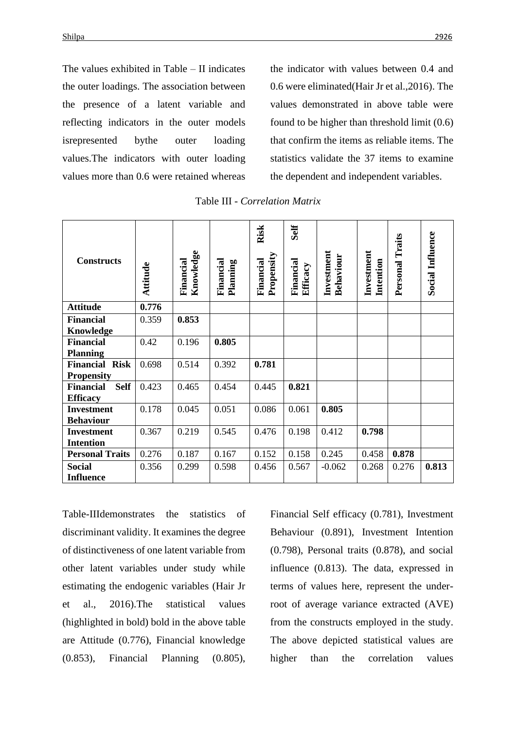The values exhibited in Table – II indicates the outer loadings. The association between the presence of a latent variable and reflecting indicators in the outer models isrepresented bythe outer loading values.The indicators with outer loading values more than 0.6 were retained whereas the indicator with values between 0.4 and 0.6 were eliminated(Hair Jr et al.,2016). The values demonstrated in above table were found to be higher than threshold limit (0.6) that confirm the items as reliable items. The statistics validate the 37 items to examine the dependent and independent variables.

| <b>Constructs</b>               | Attitude | Knowledge<br>Financial | Financial<br>Planning | Risk<br>Propensity<br>Financial | Self<br>Financial<br>Efficacy | Investment<br>Behaviour | Investment<br>Intention | Personal Traits | <b>Social Influence</b> |
|---------------------------------|----------|------------------------|-----------------------|---------------------------------|-------------------------------|-------------------------|-------------------------|-----------------|-------------------------|
| <b>Attitude</b>                 | 0.776    |                        |                       |                                 |                               |                         |                         |                 |                         |
| <b>Financial</b>                | 0.359    | 0.853                  |                       |                                 |                               |                         |                         |                 |                         |
| Knowledge                       |          |                        |                       |                                 |                               |                         |                         |                 |                         |
| <b>Financial</b>                | 0.42     | 0.196                  | 0.805                 |                                 |                               |                         |                         |                 |                         |
| <b>Planning</b>                 |          |                        |                       |                                 |                               |                         |                         |                 |                         |
| <b>Financial Risk</b>           | 0.698    | 0.514                  | 0.392                 | 0.781                           |                               |                         |                         |                 |                         |
| <b>Propensity</b>               |          |                        |                       |                                 |                               |                         |                         |                 |                         |
| <b>Self</b><br><b>Financial</b> | 0.423    | 0.465                  | 0.454                 | 0.445                           | 0.821                         |                         |                         |                 |                         |
| <b>Efficacy</b>                 |          |                        |                       |                                 |                               |                         |                         |                 |                         |
| <b>Investment</b>               | 0.178    | 0.045                  | 0.051                 | 0.086                           | 0.061                         | 0.805                   |                         |                 |                         |
| <b>Behaviour</b>                |          |                        |                       |                                 |                               |                         |                         |                 |                         |
| <b>Investment</b>               | 0.367    | 0.219                  | 0.545                 | 0.476                           | 0.198                         | 0.412                   | 0.798                   |                 |                         |
| <b>Intention</b>                |          |                        |                       |                                 |                               |                         |                         |                 |                         |
| <b>Personal Traits</b>          | 0.276    | 0.187                  | 0.167                 | 0.152                           | 0.158                         | 0.245                   | 0.458                   | 0.878           |                         |
| <b>Social</b>                   | 0.356    | 0.299                  | 0.598                 | 0.456                           | 0.567                         | $-0.062$                | 0.268                   | 0.276           | 0.813                   |
| <b>Influence</b>                |          |                        |                       |                                 |                               |                         |                         |                 |                         |

Table III - *Correlation Matrix*

Table-IIIdemonstrates the statistics of discriminant validity. It examines the degree of distinctiveness of one latent variable from other latent variables under study while estimating the endogenic variables (Hair Jr et al., 2016).The statistical values (highlighted in bold) bold in the above table are Attitude (0.776), Financial knowledge (0.853), Financial Planning (0.805), Financial Self efficacy (0.781), Investment Behaviour (0.891), Investment Intention (0.798), Personal traits (0.878), and social influence (0.813). The data, expressed in terms of values here, represent the underroot of average variance extracted (AVE) from the constructs employed in the study. The above depicted statistical values are higher than the correlation values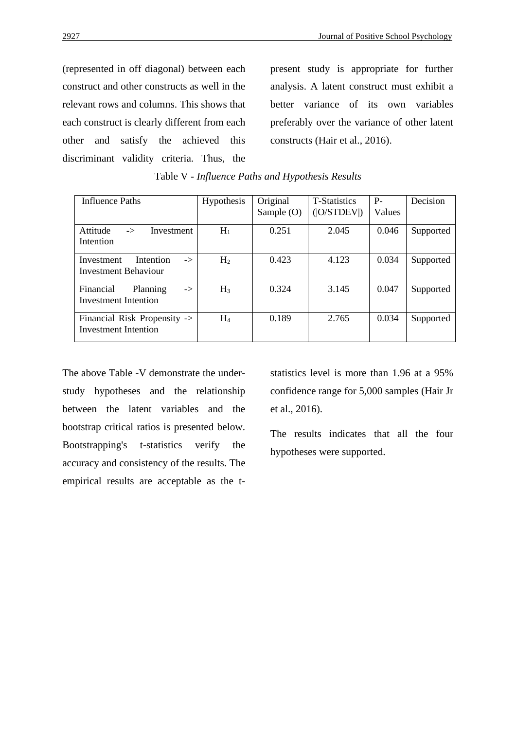(represented in off diagonal) between each construct and other constructs as well in the relevant rows and columns. This shows that each construct is clearly different from each other and satisfy the achieved this discriminant validity criteria. Thus, the

present study is appropriate for further analysis. A latent construct must exhibit a better variance of its own variables preferably over the variance of other latent constructs (Hair et al., 2016).

| Influence Paths                                                       | Hypothesis     | Original<br>Sample $(O)$ | <b>T-Statistics</b><br>( O/STDEV ) | $P-$<br>Values | Decision  |
|-----------------------------------------------------------------------|----------------|--------------------------|------------------------------------|----------------|-----------|
| Attitude<br>Investment<br>$\rightarrow$<br>Intention                  | $H_1$          | 0.251                    | 2.045                              | 0.046          | Supported |
| Intention<br>Investment<br>$\Rightarrow$<br>Investment Behaviour      | H <sub>2</sub> | 0.423                    | 4.123                              | 0.034          | Supported |
| Financial<br>Planning<br>$\Rightarrow$<br><b>Investment Intention</b> | $H_3$          | 0.324                    | 3.145                              | 0.047          | Supported |
| Financial Risk Propensity -><br>Investment Intention                  | $H_4$          | 0.189                    | 2.765                              | 0.034          | Supported |

Table V - *Influence Paths and Hypothesis Results*

The above Table -V demonstrate the understudy hypotheses and the relationship between the latent variables and the bootstrap critical ratios is presented below. Bootstrapping's t-statistics verify the accuracy and consistency of the results. The empirical results are acceptable as the tstatistics level is more than 1.96 at a 95% confidence range for 5,000 samples (Hair Jr et al., 2016).

The results indicates that all the four hypotheses were supported.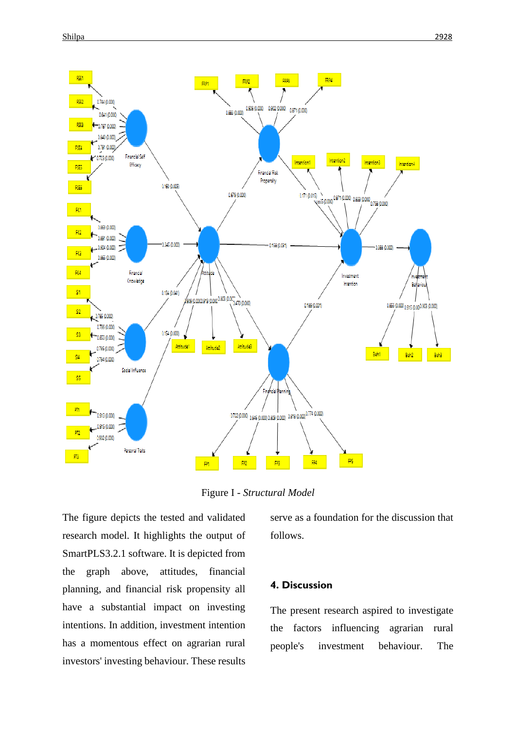

Figure I - *Structural Model*

The figure depicts the tested and validated research model. It highlights the output of SmartPLS3.2.1 software. It is depicted from the graph above, attitudes, financial planning, and financial risk propensity all have a substantial impact on investing intentions. In addition, investment intention has a momentous effect on agrarian rural investors' investing behaviour. These results

serve as a foundation for the discussion that follows.

# **4. Discussion**

The present research aspired to investigate the factors influencing agrarian rural people's investment behaviour. The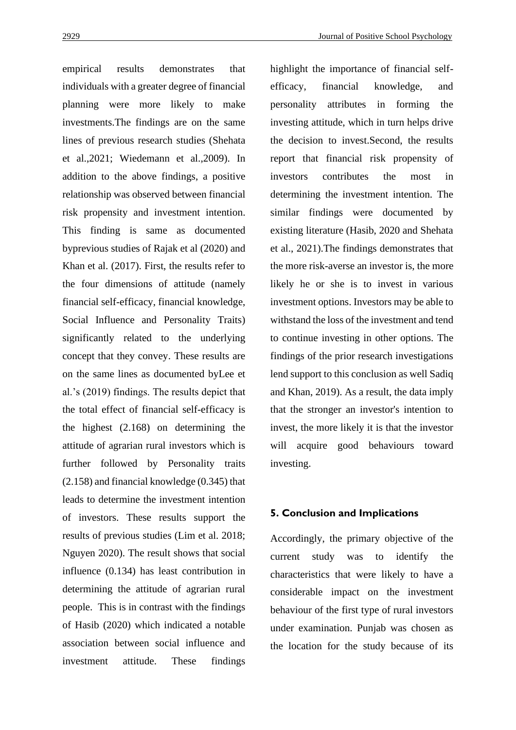empirical results demonstrates that individuals with a greater degree of financial planning were more likely to make investments.The findings are on the same lines of previous research studies (Shehata et al.,2021; Wiedemann et al.,2009). In addition to the above findings, a positive relationship was observed between financial risk propensity and investment intention. This finding is same as documented byprevious studies of Rajak et al (2020) and Khan et al. (2017). First, the results refer to the four dimensions of attitude (namely financial self-efficacy, financial knowledge, Social Influence and Personality Traits) significantly related to the underlying concept that they convey. These results are on the same lines as documented byLee et al.'s (2019) findings. The results depict that the total effect of financial self-efficacy is the highest (2.168) on determining the attitude of agrarian rural investors which is further followed by Personality traits (2.158) and financial knowledge (0.345) that leads to determine the investment intention of investors. These results support the results of previous studies (Lim et al. 2018; Nguyen 2020). The result shows that social influence (0.134) has least contribution in determining the attitude of agrarian rural people. This is in contrast with the findings of Hasib (2020) which indicated a notable association between social influence and investment attitude. These findings

highlight the importance of financial selfefficacy, financial knowledge, and personality attributes in forming the investing attitude, which in turn helps drive the decision to invest.Second, the results report that financial risk propensity of investors contributes the most in determining the investment intention. The similar findings were documented by existing literature (Hasib, 2020 and Shehata et al., 2021).The findings demonstrates that the more risk-averse an investor is, the more likely he or she is to invest in various investment options. Investors may be able to withstand the loss of the investment and tend to continue investing in other options. The findings of the prior research investigations lend support to this conclusion as well Sadiq and Khan, 2019). As a result, the data imply that the stronger an investor's intention to invest, the more likely it is that the investor will acquire good behaviours toward investing.

#### **5. Conclusion and Implications**

Accordingly, the primary objective of the current study was to identify the characteristics that were likely to have a considerable impact on the investment behaviour of the first type of rural investors under examination. Punjab was chosen as the location for the study because of its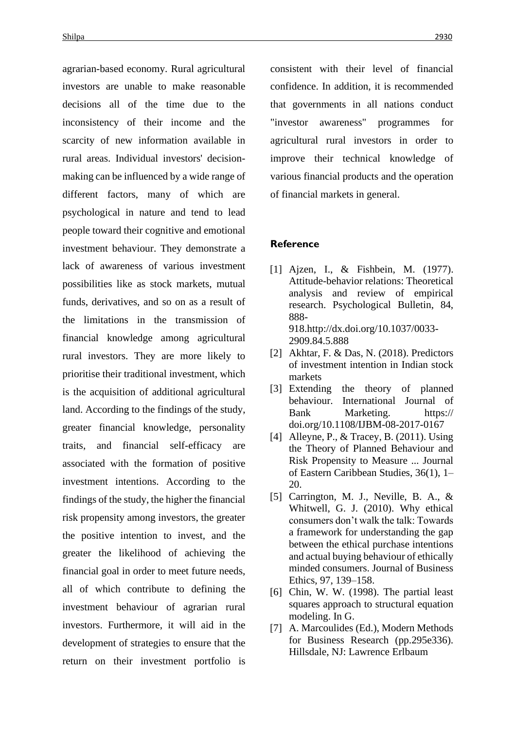agrarian-based economy. Rural agricultural investors are unable to make reasonable decisions all of the time due to the inconsistency of their income and the scarcity of new information available in rural areas. Individual investors' decisionmaking can be influenced by a wide range of different factors, many of which are psychological in nature and tend to lead people toward their cognitive and emotional investment behaviour. They demonstrate a lack of awareness of various investment possibilities like as stock markets, mutual funds, derivatives, and so on as a result of the limitations in the transmission of financial knowledge among agricultural rural investors. They are more likely to prioritise their traditional investment, which is the acquisition of additional agricultural land. According to the findings of the study, greater financial knowledge, personality traits, and financial self-efficacy are associated with the formation of positive investment intentions. According to the findings of the study, the higher the financial risk propensity among investors, the greater the positive intention to invest, and the greater the likelihood of achieving the financial goal in order to meet future needs, all of which contribute to defining the investment behaviour of agrarian rural investors. Furthermore, it will aid in the development of strategies to ensure that the return on their investment portfolio is consistent with their level of financial confidence. In addition, it is recommended that governments in all nations conduct "investor awareness" programmes for agricultural rural investors in order to improve their technical knowledge of various financial products and the operation of financial markets in general.

#### **Reference**

- [1] Ajzen, I., & Fishbein, M. (1977). Attitude-behavior relations: Theoretical analysis and review of empirical research. Psychological Bulletin, 84, 888- 918.http://dx.doi.org/10.1037/0033- 2909.84.5.888
- [2] Akhtar, F. & Das, N. (2018). Predictors of investment intention in Indian stock markets
- [3] Extending the theory of planned behaviour. International Journal of Bank Marketing. https:// doi.org/10.1108/IJBM-08-2017-0167
- [4] Alleyne, P., & Tracey, B. (2011). Using the Theory of Planned Behaviour and Risk Propensity to Measure ... Journal of Eastern Caribbean Studies, 36(1), 1– 20.
- [5] Carrington, M. J., Neville, B. A., & Whitwell, G. J. (2010). Why ethical consumers don't walk the talk: Towards a framework for understanding the gap between the ethical purchase intentions and actual buying behaviour of ethically minded consumers. Journal of Business Ethics, 97, 139–158.
- [6] Chin, W. W. (1998). The partial least squares approach to structural equation modeling. In G.
- [7] A. Marcoulides (Ed.), Modern Methods for Business Research (pp.295e336). Hillsdale, NJ: Lawrence Erlbaum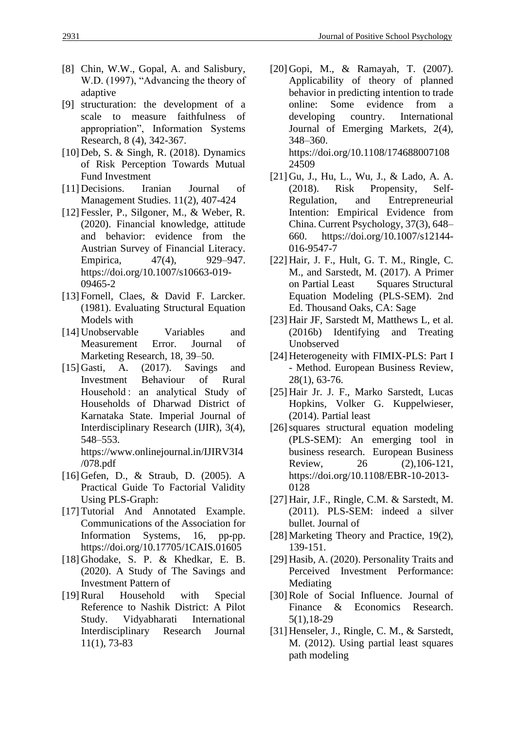- [8] Chin, W.W., Gopal, A. and Salisbury, W.D. (1997), "Advancing the theory of adaptive
- [9] structuration: the development of a scale to measure faithfulness of appropriation", Information Systems Research, 8 (4), 342-367.
- [10] Deb, S. & Singh, R. (2018). Dynamics of Risk Perception Towards Mutual Fund Investment
- [11] Decisions. Iranian Journal of Management Studies. 11(2), 407-424
- [12] Fessler, P., Silgoner, M., & Weber, R. (2020). Financial knowledge, attitude and behavior: evidence from the Austrian Survey of Financial Literacy. Empirica, 47(4), 929–947. https://doi.org/10.1007/s10663-019- 09465-2
- [13] Fornell, Claes, & David F. Larcker. (1981). Evaluating Structural Equation Models with
- [14] Unobservable Variables and Measurement Error. Journal of Marketing Research, 18, 39–50.
- [15] Gasti, A. (2017). Savings and Investment Behaviour of Rural Household : an analytical Study of Households of Dharwad District of Karnataka State. Imperial Journal of Interdisciplinary Research (IJIR), 3(4), 548–553. https://www.onlinejournal.in/IJIRV3I4

/078.pdf

- [16] Gefen, D., & Straub, D. (2005). A Practical Guide To Factorial Validity Using PLS-Graph:
- [17] Tutorial And Annotated Example. Communications of the Association for Information Systems, 16, pp-pp. https://doi.org/10.17705/1CAIS.01605
- [18] Ghodake, S. P. & Khedkar, E. B. (2020). A Study of The Savings and Investment Pattern of
- [19]Rural Household with Special Reference to Nashik District: A Pilot Study. Vidyabharati International Interdisciplinary Research Journal 11(1), 73-83

[20] Gopi, M., & Ramayah, T. (2007). Applicability of theory of planned behavior in predicting intention to trade online: Some evidence from a developing country. International Journal of Emerging Markets, 2(4), 348–360. https://doi.org/10.1108/174688007108

24509 [21] Gu, J., Hu, L., Wu, J., & Lado, A. A. (2018). Risk Propensity, Self-Regulation, and Entrepreneurial Intention: Empirical Evidence from China. Current Psychology, 37(3), 648– 660. https://doi.org/10.1007/s12144- 016-9547-7

- [22] Hair, J. F., Hult, G. T. M., Ringle, C. M., and Sarstedt, M. (2017). A Primer on Partial Least Squares Structural Equation Modeling (PLS-SEM). 2nd Ed. Thousand Oaks, CA: Sage
- [23] Hair JF, Sarstedt M, Matthews L, et al. (2016b) Identifying and Treating Unobserved
- [24] Heterogeneity with FIMIX-PLS: Part I - Method. European Business Review, 28(1), 63-76.
- [25] Hair Jr. J. F., Marko Sarstedt, Lucas Hopkins, Volker G. Kuppelwieser, (2014). Partial least
- [26] squares structural equation modeling (PLS-SEM): An emerging tool in business research. European Business Review, 26 (2), 106-121. https://doi.org/10.1108/EBR-10-2013- 0128
- [27] Hair, J.F., Ringle, C.M. & Sarstedt, M. (2011). PLS-SEM: indeed a silver bullet. Journal of
- [28] Marketing Theory and Practice, 19(2), 139-151.
- [29] Hasib, A. (2020). Personality Traits and Perceived Investment Performance: Mediating
- [30] Role of Social Influence. Journal of Finance & Economics Research. 5(1),18-29
- [31] Henseler, J., Ringle, C. M., & Sarstedt, M. (2012). Using partial least squares path modeling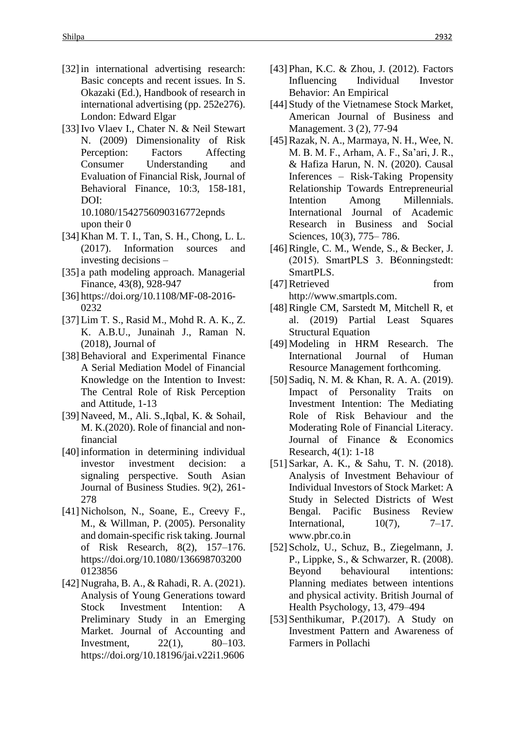- [32] in international advertising research: Basic concepts and recent issues. In S. Okazaki (Ed.), Handbook of research in international advertising (pp. 252e276). London: Edward Elgar
- [33]Ivo Vlaev I., Chater N. & Neil Stewart N. (2009) Dimensionality of Risk Perception: Factors Affecting Consumer Understanding and Evaluation of Financial Risk, Journal of Behavioral Finance, 10:3, 158-181, DOI: 10.1080/1542756090316772epnds upon their 0
- [34] Khan M. T. I., Tan, S. H., Chong, L. L. (2017). Information sources and investing decisions –
- [35] a path modeling approach. Managerial Finance, 43(8), 928-947
- [36] https://doi.org/10.1108/MF-08-2016- 0232
- [37] Lim T. S., Rasid M., Mohd R. A. K., Z. K. A.B.U., Junainah J., Raman N. (2018), Journal of
- [38] Behavioral and Experimental Finance A Serial Mediation Model of Financial Knowledge on the Intention to Invest: The Central Role of Risk Perception and Attitude, 1-13
- [39] Naveed, M., Ali. S.,Iqbal, K. & Sohail, M. K.(2020). Role of financial and nonfinancial
- [40] information in determining individual investor investment decision: a signaling perspective. South Asian Journal of Business Studies. 9(2), 261- 278
- [41] Nicholson, N., Soane, E., Creevy F., M., & Willman, P. (2005). Personality and domain-specific risk taking. Journal of Risk Research, 8(2), 157–176. https://doi.org/10.1080/136698703200 0123856
- [42] Nugraha, B. A., & Rahadi, R. A. (2021). Analysis of Young Generations toward Stock Investment Intention: A Preliminary Study in an Emerging Market. Journal of Accounting and Investment, 22(1), 80–103. https://doi.org/10.18196/jai.v22i1.9606
- [43] Phan, K.C. & Zhou, J. (2012). Factors Influencing Individual Investor Behavior: An Empirical
- [44] Study of the Vietnamese Stock Market, American Journal of Business and Management. 3 (2), 77-94
- [45]Razak, N. A., Marmaya, N. H., Wee, N. M. B. M. F., Arham, A. F., Sa'ari, J. R., & Hafiza Harun, N. N. (2020). Causal Inferences – Risk-Taking Propensity Relationship Towards Entrepreneurial Intention Among Millennials. International Journal of Academic Research in Business and Social Sciences, 10(3), 775– 786.
- [46]Ringle, C. M., Wende, S., & Becker, J. (2015). SmartPLS 3. B€onningstedt: SmartPLS.
- [47] Retrieved from http://www.smartpls.com.
- [48]Ringle CM, Sarstedt M, Mitchell R, et al. (2019) Partial Least Squares Structural Equation
- [49] Modeling in HRM Research. The International Journal of Human Resource Management forthcoming.
- [50] Sadiq, N. M. & Khan, R. A. A. (2019). Impact of Personality Traits on Investment Intention: The Mediating Role of Risk Behaviour and the Moderating Role of Financial Literacy. Journal of Finance & Economics Research, 4(1): 1-18
- [51] Sarkar, A. K., & Sahu, T. N. (2018). Analysis of Investment Behaviour of Individual Investors of Stock Market: A Study in Selected Districts of West Bengal. Pacific Business Review International,  $10(7)$ ,  $7-17$ . www.pbr.co.in
- [52] Scholz, U., Schuz, B., Ziegelmann, J. P., Lippke, S., & Schwarzer, R. (2008). Beyond behavioural intentions: Planning mediates between intentions and physical activity. British Journal of Health Psychology, 13, 479–494
- [53] Senthikumar, P.(2017). A Study on Investment Pattern and Awareness of Farmers in Pollachi